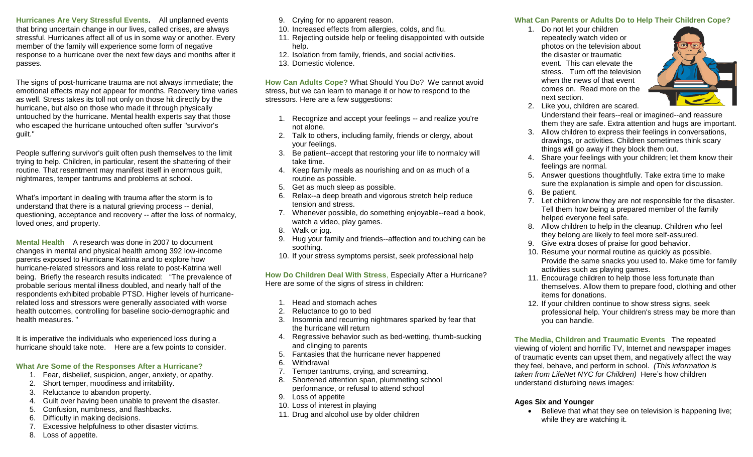**Hurricanes Are Very Stressful Events.** All unplanned events that bring uncertain change in our lives, called crises, are always stressful. Hurricanes affect all of us in some way or another. Every member of the family will experience some form of negative response to a hurricane over the next few days and months after it passes.

The signs of post-hurricane trauma are not always immediate; the emotional effects may not appear for months. Recovery time varies as well. Stress takes its toll not only on those hit directly by the hurricane, but also on those who made it through physically untouched by the hurricane. Mental health experts say that those who escaped the hurricane untouched often suffer "survivor's guilt.''

People suffering survivor's guilt often push themselves to the limit trying to help. Children, in particular, resent the shattering of their routine. That resentment may manifest itself in enormous guilt, nightmares, temper tantrums and problems at school.

What's important in dealing with trauma after the storm is to understand that there is a natural grieving process -- denial, questioning, acceptance and recovery -- after the loss of normalcy, loved ones, and property.

**Mental Health** A research was done in 2007 to document changes in mental and physical health among 392 low-income parents exposed to Hurricane Katrina and to explore how hurricane-related stressors and loss relate to post-Katrina well being. Briefly the research results indicated: "The prevalence of probable serious mental illness doubled, and nearly half of the respondents exhibited probable PTSD. Higher levels of hurricanerelated loss and stressors were generally associated with worse health outcomes, controlling for baseline socio-demographic and health measures. "

It is imperative the individuals who experienced loss during a hurricane should take note. Here are a few points to consider.

#### **What Are Some of the Responses After a Hurricane?**

- 1. Fear, disbelief, suspicion, anger, anxiety, or apathy.
- 2. Short temper, moodiness and irritability.
- 3. Reluctance to abandon property.
- 4. Guilt over having been unable to prevent the disaster.
- 5. Confusion, numbness, and flashbacks.
- 6. Difficulty in making decisions.
- 7. Excessive helpfulness to other disaster victims.
- 8. Loss of appetite.
- 9. Crying for no apparent reason.
- 10. Increased effects from allergies, colds, and flu.
- 11. Rejecting outside help or feeling disappointed with outside help.
- 12. Isolation from family, friends, and social activities.
- 13. Domestic violence.

**How Can Adults Cope?** What Should You Do? We cannot avoid stress, but we can learn to manage it or how to respond to the stressors. Here are a few suggestions:

- 1. Recognize and accept your feelings -- and realize you're not alone.
- 2. Talk to others, including family, friends or clergy, about your feelings.
- 3. Be patient--accept that restoring your life to normalcy will take time.
- 4. Keep family meals as nourishing and on as much of a routine as possible.
- 5. Get as much sleep as possible.
- 6. Relax--a deep breath and vigorous stretch help reduce tension and stress.
- 7. Whenever possible, do something enjoyable--read a book, watch a video, play games.
- 8. Walk or jog.
- 9. Hug your family and friends--affection and touching can be soothing.
- 10. If your stress symptoms persist, seek professional help

**How Do Children Deal With Stress**, Especially After a Hurricane? Here are some of the signs of stress in children:

- 1. Head and stomach aches
- 2. Reluctance to go to bed
- 3. Insomnia and recurring nightmares sparked by fear that the hurricane will return
- 4. Regressive behavior such as bed-wetting, thumb-sucking and clinging to parents
- 5. Fantasies that the hurricane never happened
- 6. Withdrawal
- 7. Temper tantrums, crying, and screaming.
- 8. Shortened attention span, plummeting school performance, or refusal to attend school
- 9. Loss of appetite
- 10. Loss of interest in playing
- 11. Drug and alcohol use by older children

## **What Can Parents or Adults Do to Help Their Children Cope?**

1. Do not let your children repeatedly watch video or photos on the television about the disaster or traumatic event. This can elevate the stress. Turn off the television when the news of that event comes on. Read more on the next section.



2. Like you, children are scared.

Understand their fears--real or imagined--and reassure them they are safe. Extra attention and hugs are important.

- 3. Allow children to express their feelings in conversations, drawings, or activities. Children sometimes think scary things will go away if they block them out.
- 4. Share your feelings with your children; let them know their feelings are normal.
- 5. Answer questions thoughtfully. Take extra time to make sure the explanation is simple and open for discussion.
- 6. Be patient.
- 7. Let children know they are not responsible for the disaster. Tell them how being a prepared member of the family helped everyone feel safe.
- 8. Allow children to help in the cleanup. Children who feel they belong are likely to feel more self-assured.
- 9. Give extra doses of praise for good behavior.
- 10. Resume your normal routine as quickly as possible. Provide the same snacks you used to. Make time for family activities such as playing games.
- 11. Encourage children to help those less fortunate than themselves. Allow them to prepare food, clothing and other items for donations.
- 12. If your children continue to show stress signs, seek professional help. Your children's stress may be more than you can handle.

**The Media, Children and Traumatic Events** The repeated viewing of violent and horrific TV, Internet and newspaper images of traumatic events can upset them, and negatively affect the way they feel, behave, and perform in school. *(This information is taken from LifeNet NYC for Children)* Here's how children understand disturbing news images:

#### **Ages Six and Younger**

• Believe that what they see on television is happening live: while they are watching it.